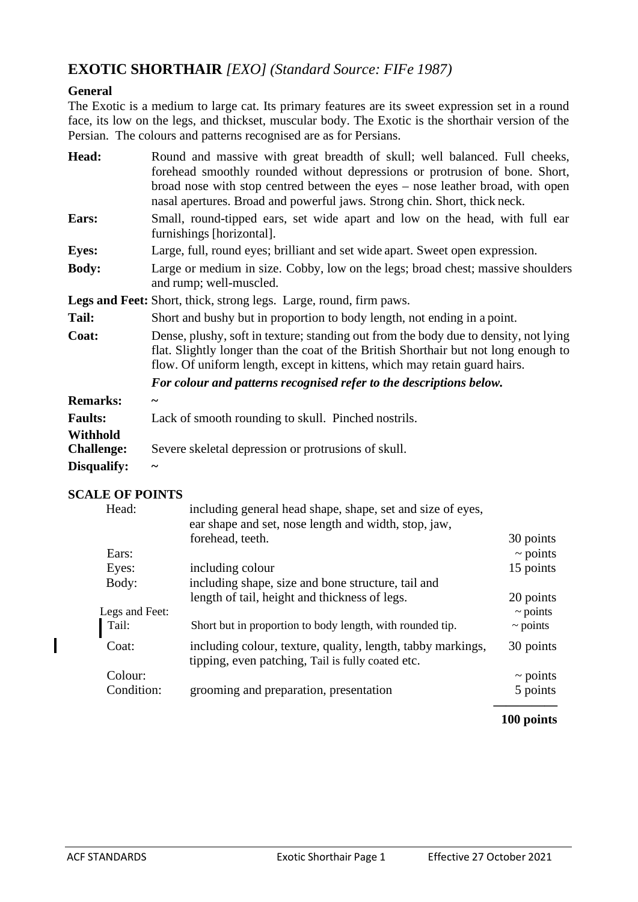## **EXOTIC SHORTHAIR** *[EXO] (Standard Source: FIFe 1987)*

#### **General**

The Exotic is a medium to large cat. Its primary features are its sweet expression set in a round face, its low on the legs, and thickset, muscular body. The Exotic is the shorthair version of the Persian. The colours and patterns recognised are as for Persians.

| Head:                         | Round and massive with great breadth of skull; well balanced. Full cheeks,<br>forehead smoothly rounded without depressions or protrusion of bone. Short,<br>broad nose with stop centred between the eyes – nose leather broad, with open<br>nasal apertures. Broad and powerful jaws. Strong chin. Short, thick neck. |  |  |
|-------------------------------|-------------------------------------------------------------------------------------------------------------------------------------------------------------------------------------------------------------------------------------------------------------------------------------------------------------------------|--|--|
| Ears:                         | Small, round-tipped ears, set wide apart and low on the head, with full ear<br>furnishings [horizontal].                                                                                                                                                                                                                |  |  |
| <b>Eyes:</b>                  | Large, full, round eyes; brilliant and set wide apart. Sweet open expression.                                                                                                                                                                                                                                           |  |  |
| <b>Body:</b>                  | Large or medium in size. Cobby, low on the legs; broad chest; massive shoulders<br>and rump; well-muscled.                                                                                                                                                                                                              |  |  |
|                               | <b>Legs and Feet:</b> Short, thick, strong legs. Large, round, firm paws.                                                                                                                                                                                                                                               |  |  |
| Tail:                         | Short and bushy but in proportion to body length, not ending in a point.                                                                                                                                                                                                                                                |  |  |
| Coat:                         | Dense, plushy, soft in texture; standing out from the body due to density, not lying<br>flat. Slightly longer than the coat of the British Shorthair but not long enough to<br>flow. Of uniform length, except in kittens, which may retain guard hairs.                                                                |  |  |
|                               | For colour and patterns recognised refer to the descriptions below.                                                                                                                                                                                                                                                     |  |  |
| <b>Remarks:</b>               |                                                                                                                                                                                                                                                                                                                         |  |  |
| <b>Faults:</b>                | Lack of smooth rounding to skull. Pinched nostrils.                                                                                                                                                                                                                                                                     |  |  |
| Withhold<br><b>Challenge:</b> | Severe skeletal depression or protrusions of skull.                                                                                                                                                                                                                                                                     |  |  |
| Disqualify:                   |                                                                                                                                                                                                                                                                                                                         |  |  |

### **SCALE OF POINTS**

| Head:          | including general head shape, shape, set and size of eyes,<br>ear shape and set, nose length and width, stop, jaw, |               |  |
|----------------|--------------------------------------------------------------------------------------------------------------------|---------------|--|
|                | forehead, teeth.                                                                                                   | 30 points     |  |
| Ears:          |                                                                                                                    | $\sim$ points |  |
| Eyes:          | including colour                                                                                                   | 15 points     |  |
| Body:          | including shape, size and bone structure, tail and                                                                 |               |  |
|                | length of tail, height and thickness of legs.                                                                      | 20 points     |  |
| Legs and Feet: |                                                                                                                    | $\sim$ points |  |
| Tail:          | Short but in proportion to body length, with rounded tip.                                                          | $\sim$ points |  |
| Coat:          | including colour, texture, quality, length, tabby markings,<br>tipping, even patching, Tail is fully coated etc.   | 30 points     |  |
| Colour:        |                                                                                                                    | $\sim$ points |  |
| Condition:     | grooming and preparation, presentation                                                                             | 5 points      |  |
|                |                                                                                                                    |               |  |

#### **100 points**

I